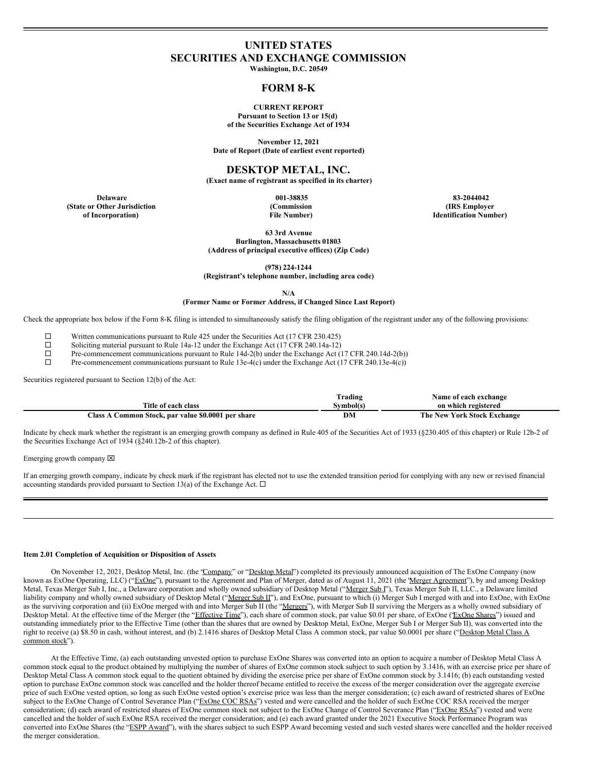# **UNITED STATES SECURITIES AND EXCHANGE COMMISSION**

**Washington, D.C. 20549**

## **FORM 8-K**

#### **CURRENT REPORT Pursuant to Section 13 or 15(d) of the Securities Exchange Act of 1934**

**November 12, 2021 Date of Report (Date of earliest event reported)**

# **DESKTOP METAL, INC.**

**(Exact name of registrant as specified in its charter)**

**(State or Other Jurisdiction of Incorporation)**

**(Commission File Number)**

**Delaware 001-38835 83-2044042 (IRS Employer Identification Number)**

> **63 3rd Avenue Burlington, Massachusetts 01803 (Address of principal executive offices) (Zip Code)**

> > **(978) 224-1244**

**(Registrant's telephone number, including area code)**

**N/A**

## **(Former Name or Former Address, if Changed Since Last Report)**

Check the appropriate box below if the Form 8-K filing is intended to simultaneously satisfy the filing obligation of the registrant under any of the following provisions:

 $□$  Written communications pursuant to Rule 425 under the Securities Act (17 CFR 230.425)<br>Soliciting material pursuant to Rule 14a-12 under the Exchange Act (17 CFR 240.14a-12)

<p>\n 2 Soliciting material pursuit to Rule 14a-12 under the Exchange Act (17 CFR 240.14a-12) <math display="inline">\Box</math> Pre-component communications pursuit to Rule 14d-2(b) under the Exchange Act (</p>

 $\Box$  Pre-commencement communications pursuant to Rule 14d-2(b) under the Exchange Act (17 CFR 240.14d-2(b))<br>Pre-commencement communications pursuant to Rule 13e-4(c) under the Exchange Act (17 CFR 240.13e-4(c))

Pre-commencement communications pursuant to Rule 13e-4(c) under the Exchange Act (17 CFR 240.13e-4(c))

Securities registered pursuant to Section 12(b) of the Act:

|                                                    | ſrading   | Name of each exchange       |
|----------------------------------------------------|-----------|-----------------------------|
| Title of each class                                | 3vmbol(s) | on which registered         |
| Class A Common Stock, par value \$0.0001 per share | DМ        | The New York Stock Exchange |

Indicate by check mark whether the registrant is an emerging growth company as defined in Rule 405 of the Securities Act of 1933 (§230.405 of this chapter) or Rule 12b-2 of the Securities Exchange Act of 1934 (§240.12b-2 of this chapter).

Emerging growth company  $[**X**]$ 

If an emerging growth company, indicate by check mark if the registrant has elected not to use the extended transition period for complying with any new or revised financial accounting standards provided pursuant to Section 13(a) of the Exchange Act.  $\Box$ 

## **Item 2.01 Completion of Acquisition or Disposition of Assets**

On November 12, 2021, Desktop Metal, Inc. (the "Company" or "Desktop Metal") completed its previously announced acquisition of The ExOne Company (now known as ExOne Operating, LLC) ("ExOne"), pursuant to the Agreement and Plan of Merger, dated as of August 11, 2021 (the 'Merger Agreement'), by and among Desktop Metal, Texas Merger Sub I, Inc., a Delaware corporation and wholly owned subsidiary of Desktop Metal ("Merger Sub I"), Texas Merger Sub II, LLC., a Delaware limited liability company and wholly owned subsidiary of Desktop Metal ("Merger Sub II"), and ExOne, pursuant to which (i) Merger Sub I merged with and into ExOne, with ExOne as the surviving corporation and (ii) ExOne merged with and into Merger Sub II (the "Mergers"), with Merger Sub II surviving the Mergers as a wholly owned subsidiary of Desktop Metal. At the effective time of the Merger (the "Effective Time"), each share of common stock, par value \$0.01 per share, of ExOne ('ExOne Shares'') issued and outstanding immediately prior to the Effective Time (other than the shares that are owned by Desktop Metal, ExOne, Merger Sub I or Merger Sub II), was converted into the right to receive (a) \$8.50 in cash, without interest, and (b) 2.1416 shares of Desktop Metal Class A common stock, par value \$0.0001 per share ("Desktop Metal Class A common stock").

At the Effective Time, (a) each outstanding unvested option to purchase ExOne Shares was converted into an option to acquire a number of Desktop Metal Class A common stock equal to the product obtained by multiplying the number of shares of ExOne common stock subject to such option by 3.1416, with an exercise price per share of Desktop Metal Class A common stock equal to the quotient obtained by dividing the exercise price per share of ExOne common stock by 3.1416; (b) each outstanding vested option to purchase ExOne common stock was cancelled and the holder thereof became entitled to receive the excess of the merger consideration over the aggregate exercise price of such ExOne vested option, so long as such ExOne vested option's exercise price was less than the merger consideration; (c) each award of restricted shares of ExOne subject to the ExOne Change of Control Severance Plan ("ExOne COC RSAs") vested and were cancelled and the holder of such ExOne COC RSA received the merger consideration; (d) each award of restricted shares of ExOne common stock not subject to the ExOne Change of Control Severance Plan ("ExOne RSAs") vested and were cancelled and the holder of such ExOne RSA received the merger consideration; and (e) each award granted under the 2021 Executive Stock Performance Program was converted into ExOne Shares (the "ESPP Award"), with the shares subject to such ESPP Award becoming vested and such vested shares were cancelled and the holder received the merger consideration.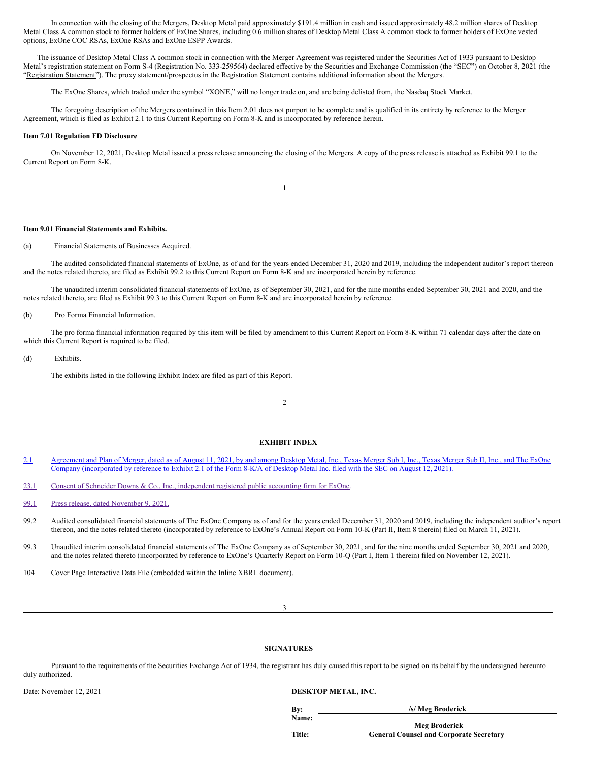In connection with the closing of the Mergers, Desktop Metal paid approximately \$191.4 million in cash and issued approximately 48.2 million shares of Desktop Metal Class A common stock to former holders of ExOne Shares, including 0.6 million shares of Desktop Metal Class A common stock to former holders of ExOne vested options, ExOne COC RSAs, ExOne RSAs and ExOne ESPP Awards.

The issuance of Desktop Metal Class A common stock in connection with the Merger Agreement was registered under the Securities Act of 1933 pursuant to Desktop Metal's registration statement on Form S-4 (Registration No. 333-259564) declared effective by the Securities and Exchange Commission (the "SEC") on October 8, 2021 (the "Registration Statement"). The proxy statement/prospectus in the Registration Statement contains additional information about the Mergers.

The ExOne Shares, which traded under the symbol "XONE," will no longer trade on, and are being delisted from, the Nasdaq Stock Market.

The foregoing description of the Mergers contained in this Item 2.01 does not purport to be complete and is qualified in its entirety by reference to the Merger Agreement, which is filed as Exhibit 2.1 to this Current Reporting on Form 8-K and is incorporated by reference herein.

#### **Item 7.01 Regulation FD Disclosure**

On November 12, 2021, Desktop Metal issued a press release announcing the closing of the Mergers. A copy of the press release is attached as Exhibit 99.1 to the Current Report on Form 8-K.

1

## **Item 9.01 Financial Statements and Exhibits.**

#### (a) Financial Statements of Businesses Acquired.

The audited consolidated financial statements of ExOne, as of and for the years ended December 31, 2020 and 2019, including the independent auditor's report thereon and the notes related thereto, are filed as Exhibit 99.2 to this Current Report on Form 8-K and are incorporated herein by reference.

The unaudited interim consolidated financial statements of ExOne, as of September 30, 2021, and for the nine months ended September 30, 2021 and 2020, and the notes related thereto, are filed as Exhibit 99.3 to this Current Report on Form 8-K and are incorporated herein by reference.

#### (b) Pro Forma Financial Information.

The pro forma financial information required by this item will be filed by amendment to this Current Report on Form 8-K within 71 calendar days after the date on which this Current Report is required to be filed.

(d) Exhibits.

The exhibits listed in the following Exhibit Index are filed as part of this Report.

 $\mathcal{L}$ 

## **EXHIBIT INDEX**

- [2.1](https://www.sec.gov/Archives/edgar/data/1754820/000110465921104178/tm2124914d1_ex2-1.htm) Agreement and Plan of Merger, dated as of August 11, 2021, by and among Desktop Metal, Inc., Texas Merger Sub I, Inc., Texas Merger Sub II, Inc., and The ExOne Company [\(incorporated](https://www.sec.gov/Archives/edgar/data/1754820/000110465921104178/tm2124914d1_ex2-1.htm) by reference to Exhibit 2.1 of the Form 8-K/A of Desktop Metal Inc. filed with the SEC on August 12, 2021).
- [23.1](#page-3-0) Consent of Schneider Downs & Co., Inc., [independent](#page-3-0) registered public accounting firm for ExOne.

[99.1](#page-4-0) Press release, dated [November](#page-4-0) 9, 2021.

- 99.2 Audited consolidated financial statements of The ExOne Company as of and for the years ended December 31, 2020 and 2019, including the independent auditor's report thereon, and the notes related thereto (incorporated by reference to ExOne's Annual Report on Form 10-K (Part II, Item 8 therein) filed on March 11, 2021).
- 99.3 Unaudited interim consolidated financial statements of The ExOne Company as of September 30, 2021, and for the nine months ended September 30, 2021 and 2020, and the notes related thereto (incorporated by reference to ExOne's Quarterly Report on Form 10-Q (Part I, Item 1 therein) filed on November 12, 2021).

104 Cover Page Interactive Data File (embedded within the Inline XBRL document).

3

## **SIGNATURES**

Pursuant to the requirements of the Securities Exchange Act of 1934, the registrant has duly caused this report to be signed on its behalf by the undersigned hereunto duly authorized.

## Date: November 12, 2021 **DESKTOP METAL, INC.**

**By: /s/ Meg Broderick Name: Meg Broderick Title: General Counsel and Corporate Secretary**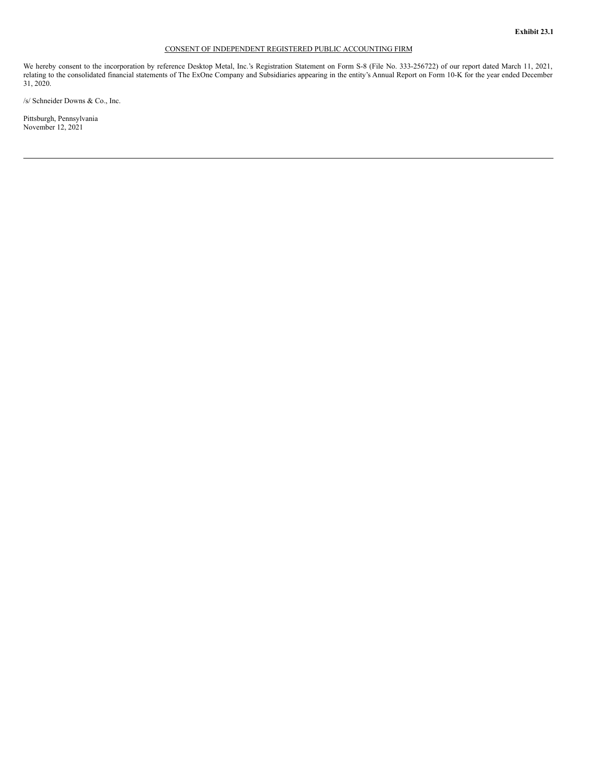## CONSENT OF INDEPENDENT REGISTERED PUBLIC ACCOUNTING FIRM

<span id="page-3-0"></span>We hereby consent to the incorporation by reference Desktop Metal, Inc.'s Registration Statement on Form S-8 (File No. 333-256722) of our report dated March 11, 2021, relating to the consolidated financial statements of The ExOne Company and Subsidiaries appearing in the entity's Annual Report on Form 10-K for the year ended December 31, 2020.

/s/ Schneider Downs & Co., Inc.

Pittsburgh, Pennsylvania November 12, 2021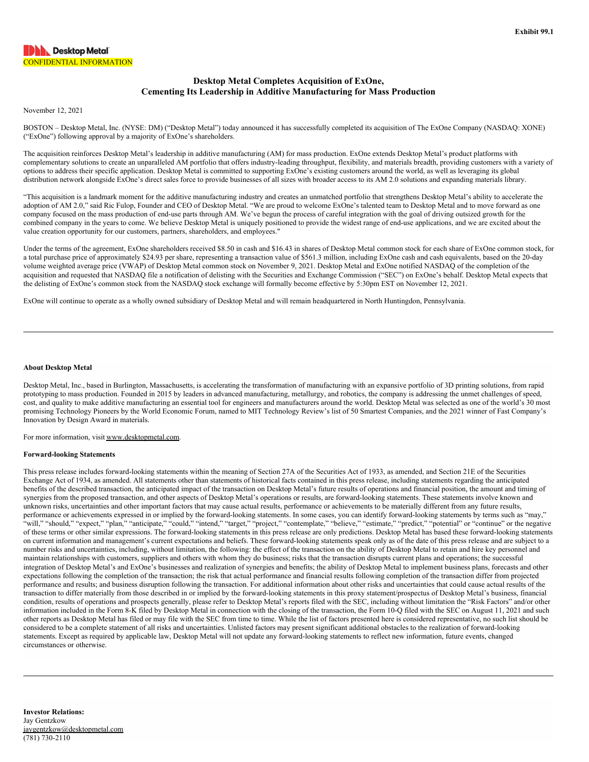# **Desktop Metal Completes Acquisition of ExOne, Cementing Its Leadership in Additive Manufacturing for Mass Production**

#### <span id="page-4-0"></span>November 12, 2021

BOSTON – Desktop Metal, Inc. (NYSE: DM) ("Desktop Metal") today announced it has successfully completed its acquisition of The ExOne Company (NASDAQ: XONE) ("ExOne") following approval by a majority of ExOne's shareholders.

The acquisition reinforces Desktop Metal's leadership in additive manufacturing (AM) for mass production. ExOne extends Desktop Metal's product platforms with complementary solutions to create an unparalleled AM portfolio that offers industry-leading throughput, flexibility, and materials breadth, providing customers with a variety of options to address their specific application. Desktop Metal is committed to supporting ExOne's existing customers around the world, as well as leveraging its global distribution network alongside ExOne's direct sales force to provide businesses of all sizes with broader access to its AM 2.0 solutions and expanding materials library.

"This acquisition is a landmark moment for the additive manufacturing industry and creates an unmatched portfolio that strengthens Desktop Metal's ability to accelerate the adoption of AM 2.0," said Ric Fulop, Founder and CEO of Desktop Metal. "We are proud to welcome ExOne's talented team to Desktop Metal and to move forward as one company focused on the mass production of end-use parts through AM. We've begun the process of careful integration with the goal of driving outsized growth for the combined company in the years to come. We believe Desktop Metal is uniquely positioned to provide the widest range of end-use applications, and we are excited about the value creation opportunity for our customers, partners, shareholders, and employees."

Under the terms of the agreement, ExOne shareholders received \$8.50 in cash and \$16.43 in shares of Desktop Metal common stock for each share of ExOne common stock, for a total purchase price of approximately \$24.93 per share, representing a transaction value of \$561.3 million, including ExOne cash and cash equivalents, based on the 20-day volume weighted average price (VWAP) of Desktop Metal common stock on November 9, 2021. Desktop Metal and ExOne notified NASDAQ of the completion of the acquisition and requested that NASDAQ file a notification of delisting with the Securities and Exchange Commission ("SEC") on ExOne's behalf. Desktop Metal expects that the delisting of ExOne's common stock from the NASDAQ stock exchange will formally become effective by 5:30pm EST on November 12, 2021.

ExOne will continue to operate as a wholly owned subsidiary of Desktop Metal and will remain headquartered in North Huntingdon, Pennsylvania.

#### **About Desktop Metal**

Desktop Metal, Inc., based in Burlington, Massachusetts, is accelerating the transformation of manufacturing with an expansive portfolio of 3D printing solutions, from rapid prototyping to mass production. Founded in 2015 by leaders in advanced manufacturing, metallurgy, and robotics, the company is addressing the unmet challenges of speed, cost, and quality to make additive manufacturing an essential tool for engineers and manufacturers around the world. Desktop Metal was selected as one of the world's 30 most promising Technology Pioneers by the World Economic Forum, named to MIT Technology Review's list of 50 Smartest Companies, and the 2021 winner of Fast Company's Innovation by Design Award in materials.

For more information, visit www.desktopmetal.com.

## **Forward-looking Statements**

This press release includes forward-looking statements within the meaning of Section 27A of the Securities Act of 1933, as amended, and Section 21E of the Securities Exchange Act of 1934, as amended. All statements other than statements of historical facts contained in this press release, including statements regarding the anticipated benefits of the described transaction, the anticipated impact of the transaction on Desktop Metal's future results of operations and financial position, the amount and timing of synergies from the proposed transaction, and other aspects of Desktop Metal's operations or results, are forward-looking statements. These statements involve known and unknown risks, uncertainties and other important factors that may cause actual results, performance or achievements to be materially different from any future results, performance or achievements expressed in or implied by the forward-looking statements. In some cases, you can identify forward-looking statements by terms such as "may," "will," "should," "expect," "plan," "anticipate," "could," "intend," "target," "project," "contemplate," "believe," "estimate," "predict," "potential" or "continue" or the negative of these terms or other similar expressions. The forward-looking statements in this press release are only predictions. Desktop Metal has based these forward-looking statements on current information and management's current expectations and beliefs. These forward-looking statements speak only as of the date of this press release and are subject to a number risks and uncertainties, including, without limitation, the following: the effect of the transaction on the ability of Desktop Metal to retain and hire key personnel and maintain relationships with customers, suppliers and others with whom they do business; risks that the transaction disrupts current plans and operations; the successful integration of Desktop Metal's and ExOne's businesses and realization of synergies and benefits; the ability of Desktop Metal to implement business plans, forecasts and other expectations following the completion of the transaction; the risk that actual performance and financial results following completion of the transaction differ from projected performance and results; and business disruption following the transaction. For additional information about other risks and uncertainties that could cause actual results of the transaction to differ materially from those described in or implied by the forward-looking statements in this proxy statement/prospectus of Desktop Metal's business, financial condition, results of operations and prospects generally, please refer to Desktop Metal's reports filed with the SEC, including without limitation the "Risk Factors" and/or other information included in the Form 8-K filed by Desktop Metal in connection with the closing of the transaction, the Form 10-Q filed with the SEC on August 11, 2021 and such other reports as Desktop Metal has filed or may file with the SEC from time to time. While the list of factors presented here is considered representative, no such list should be considered to be a complete statement of all risks and uncertainties. Unlisted factors may present significant additional obstacles to the realization of forward-looking statements. Except as required by applicable law, Desktop Metal will not update any forward-looking statements to reflect new information, future events, changed circumstances or otherwise.